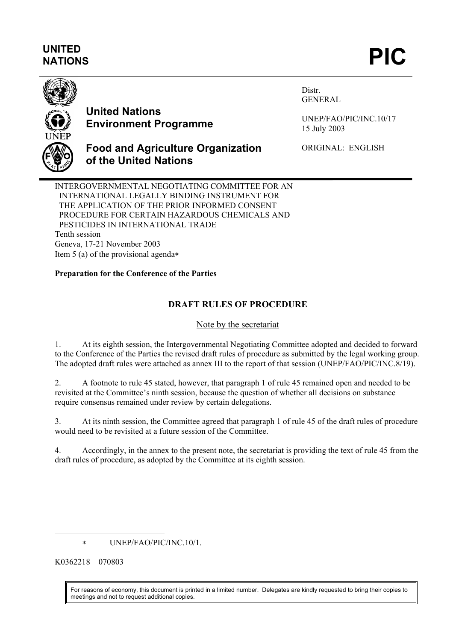# **UNITED**  UNITED<br>NATIONS **PIC**



# **United Nations Environment Programme**

Distr. GENERAL

UNEP/FAO/PIC/INC.10/17 15 July 2003

## **Food and Agriculture Organization of the United Nations**

ORIGINAL: ENGLISH

INTERGOVERNMENTAL NEGOTIATING COMMITTEE FOR AN INTERNATIONAL LEGALLY BINDING INSTRUMENT FOR THE APPLICATION OF THE PRIOR INFORMED CONSENT PROCEDURE FOR CERTAIN HAZARDOUS CHEMICALS AND PESTICIDES IN INTERNATIONAL TRADE Tenth session Geneva, 17-21 November 2003 Item 5 (a) of the provisional agenda∗

### **Preparation for the Conference of the Parties**

## **DRAFT RULES OF PROCEDURE**

### Note by the secretariat

1. At its eighth session, the Intergovernmental Negotiating Committee adopted and decided to forward to the Conference of the Parties the revised draft rules of procedure as submitted by the legal working group. The adopted draft rules were attached as annex III to the report of that session (UNEP/FAO/PIC/INC.8/19).

2. A footnote to rule 45 stated, however, that paragraph 1 of rule 45 remained open and needed to be revisited at the Committee's ninth session, because the question of whether all decisions on substance require consensus remained under review by certain delegations.

3. At its ninth session, the Committee agreed that paragraph 1 of rule 45 of the draft rules of procedure would need to be revisited at a future session of the Committee.

4. Accordingly, in the annex to the present note, the secretariat is providing the text of rule 45 from the draft rules of procedure, as adopted by the Committee at its eighth session.

∗ UNEP/FAO/PIC/INC.10/1.

K0362218 070803

 $\overline{\phantom{a}}$ 

For reasons of economy, this document is printed in a limited number. Delegates are kindly requested to bring their copies to meetings and not to request additional copies.